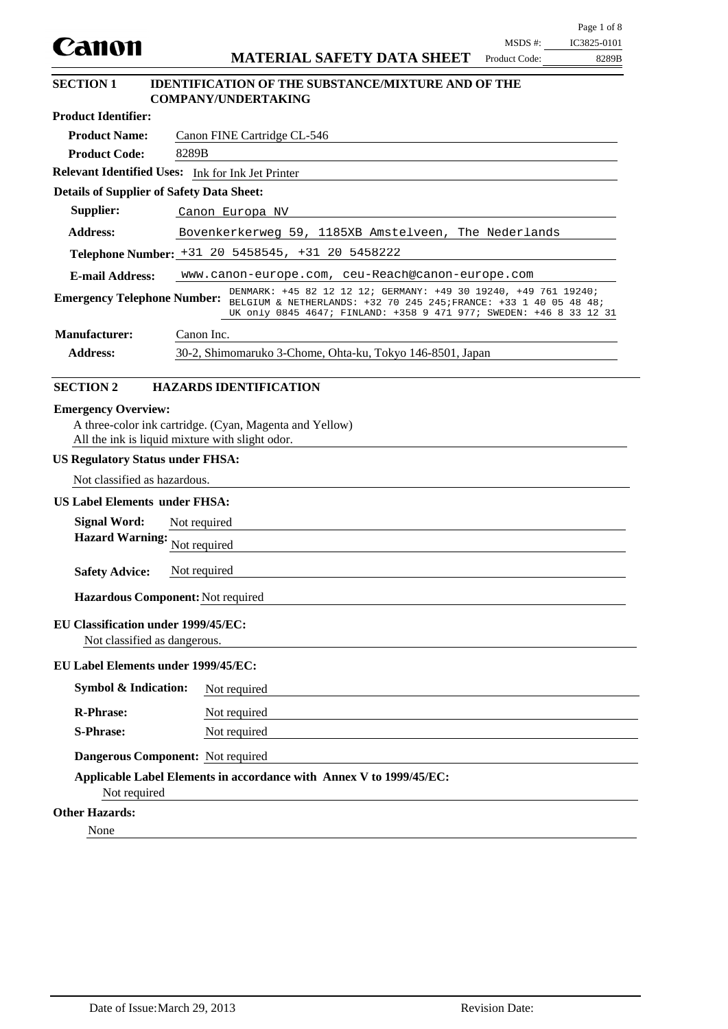|                                                                                                                            |              |                                                                                                                                                                                                                                                                                                  |                          | Page 1 of 8          |  |  |
|----------------------------------------------------------------------------------------------------------------------------|--------------|--------------------------------------------------------------------------------------------------------------------------------------------------------------------------------------------------------------------------------------------------------------------------------------------------|--------------------------|----------------------|--|--|
| Canon                                                                                                                      |              | <b>MATERIAL SAFETY DATA SHEET</b>                                                                                                                                                                                                                                                                | MSDS #:<br>Product Code: | IC3825-0101<br>8289B |  |  |
|                                                                                                                            |              |                                                                                                                                                                                                                                                                                                  |                          |                      |  |  |
| <b>SECTION 1</b>                                                                                                           |              | <b>IDENTIFICATION OF THE SUBSTANCE/MIXTURE AND OF THE</b><br><b>COMPANY/UNDERTAKING</b>                                                                                                                                                                                                          |                          |                      |  |  |
| <b>Product Identifier:</b>                                                                                                 |              |                                                                                                                                                                                                                                                                                                  |                          |                      |  |  |
| <b>Product Name:</b>                                                                                                       |              | Canon FINE Cartridge CL-546                                                                                                                                                                                                                                                                      |                          |                      |  |  |
| <b>Product Code:</b>                                                                                                       | 8289B        |                                                                                                                                                                                                                                                                                                  |                          |                      |  |  |
| Relevant Identified Uses: Ink for Ink Jet Printer                                                                          |              |                                                                                                                                                                                                                                                                                                  |                          |                      |  |  |
| <b>Details of Supplier of Safety Data Sheet:</b>                                                                           |              |                                                                                                                                                                                                                                                                                                  |                          |                      |  |  |
| Supplier:                                                                                                                  |              | Canon Europa NV                                                                                                                                                                                                                                                                                  |                          |                      |  |  |
| <b>Address:</b>                                                                                                            |              | Bovenkerkerweg 59, 1185XB Amstelveen, The Nederlands                                                                                                                                                                                                                                             |                          |                      |  |  |
|                                                                                                                            |              | Telephone Number: +31 20 5458545, +31 20 5458222                                                                                                                                                                                                                                                 |                          |                      |  |  |
| <b>E-mail Address:</b>                                                                                                     |              | www.canon-europe.com, ceu-Reach@canon-europe.com                                                                                                                                                                                                                                                 |                          |                      |  |  |
|                                                                                                                            |              | DENMARK: +45 82 12 12 12; GERMANY: +49 30 19240, +49 761 19240;<br>Emergency Telephone Number: $\frac{12.1 \text{ m}}{BELGIUM \& \text{NETHERLANDS}: +32, 70, 245, 245, \text{FRANCE}: +33, 1, 40, 05, 48, 48, \text{ } }$<br>UK only 0845 4647; FINLAND: +358 9 471 977; SWEDEN: +46 8 33 12 31 |                          |                      |  |  |
| <b>Manufacturer:</b>                                                                                                       | Canon Inc.   |                                                                                                                                                                                                                                                                                                  |                          |                      |  |  |
| <b>Address:</b>                                                                                                            |              | 30-2, Shimomaruko 3-Chome, Ohta-ku, Tokyo 146-8501, Japan                                                                                                                                                                                                                                        |                          |                      |  |  |
| <b>SECTION 2</b>                                                                                                           |              | <b>HAZARDS IDENTIFICATION</b>                                                                                                                                                                                                                                                                    |                          |                      |  |  |
| All the ink is liquid mixture with slight odor.<br><b>US Regulatory Status under FHSA:</b><br>Not classified as hazardous. |              |                                                                                                                                                                                                                                                                                                  |                          |                      |  |  |
|                                                                                                                            |              |                                                                                                                                                                                                                                                                                                  |                          |                      |  |  |
| <b>US Label Elements under FHSA:</b>                                                                                       |              |                                                                                                                                                                                                                                                                                                  |                          |                      |  |  |
| <b>Signal Word:</b><br><b>Hazard Warning:</b>                                                                              | Not required |                                                                                                                                                                                                                                                                                                  |                          |                      |  |  |
|                                                                                                                            | Not required |                                                                                                                                                                                                                                                                                                  |                          |                      |  |  |
| <b>Safety Advice:</b>                                                                                                      | Not required |                                                                                                                                                                                                                                                                                                  |                          |                      |  |  |
| Hazardous Component: Not required                                                                                          |              |                                                                                                                                                                                                                                                                                                  |                          |                      |  |  |
| <b>EU Classification under 1999/45/EC:</b><br>Not classified as dangerous.                                                 |              |                                                                                                                                                                                                                                                                                                  |                          |                      |  |  |
| EU Label Elements under 1999/45/EC:                                                                                        |              |                                                                                                                                                                                                                                                                                                  |                          |                      |  |  |
| <b>Symbol &amp; Indication:</b>                                                                                            |              | Not required                                                                                                                                                                                                                                                                                     |                          |                      |  |  |
| <b>R-Phrase:</b>                                                                                                           |              | Not required                                                                                                                                                                                                                                                                                     |                          |                      |  |  |
| <b>S-Phrase:</b>                                                                                                           |              | Not required                                                                                                                                                                                                                                                                                     |                          |                      |  |  |
| Dangerous Component: Not required                                                                                          |              |                                                                                                                                                                                                                                                                                                  |                          |                      |  |  |
| Not required                                                                                                               |              | Applicable Label Elements in accordance with Annex V to 1999/45/EC:                                                                                                                                                                                                                              |                          |                      |  |  |
| <b>Other Hazards:</b>                                                                                                      |              |                                                                                                                                                                                                                                                                                                  |                          |                      |  |  |
| None                                                                                                                       |              |                                                                                                                                                                                                                                                                                                  |                          |                      |  |  |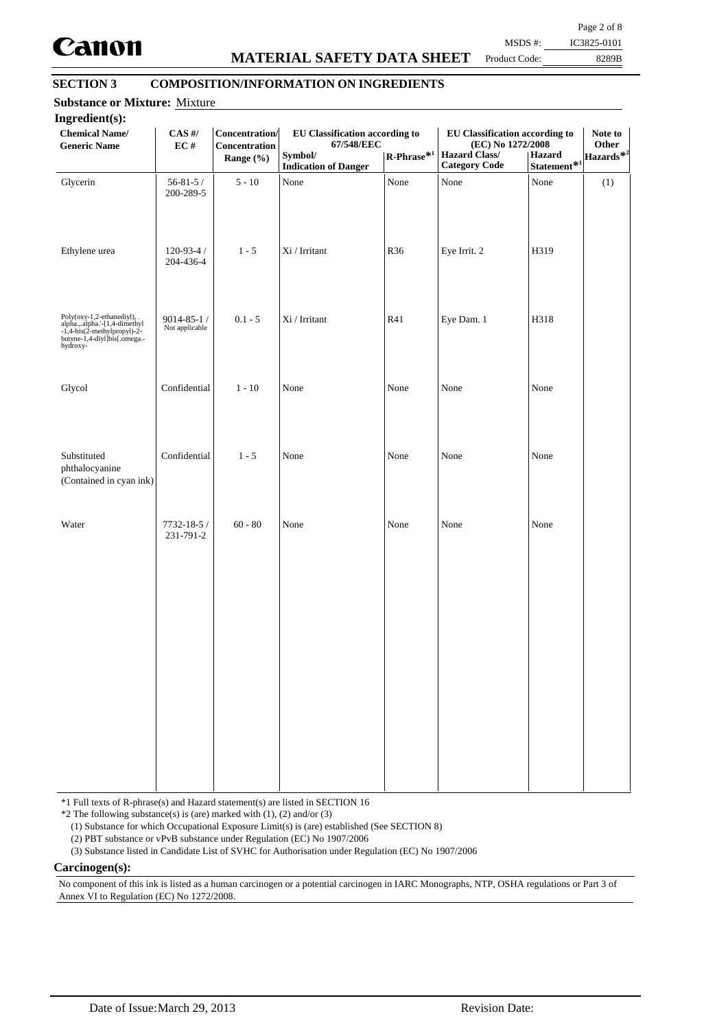

# **MATERIAL SAFETY DATA SHEET**

Page 2 of 8 MSDS #: IC3825-0101

Product Code:

# 8289B

# **SECTION 3 COMPOSITION/INFORMATION ON INGREDIENTS**

| <b>Chemical Name/</b><br><b>Generic Name</b>                                                                                            | $CAS$ #/<br>EC#                    | Concentration/<br>Concentration<br>Range $(\% )$ | EU Classification according to<br>67/548/EEC<br>Symbol/<br><b>Indication of Danger</b> | $R$ -Phrase <sup>*1</sup> | <b>EU Classification according to</b><br>(EC) No 1272/2008<br><b>Hazard Class/</b><br><b>Category Code</b> | Hazard<br>Statement $\mathbf{\hat{*}}^{1}$ | Note to<br>Other<br>Hazards <sup>*2</sup> |
|-----------------------------------------------------------------------------------------------------------------------------------------|------------------------------------|--------------------------------------------------|----------------------------------------------------------------------------------------|---------------------------|------------------------------------------------------------------------------------------------------------|--------------------------------------------|-------------------------------------------|
| Glycerin                                                                                                                                | $56 - 81 - 5/$<br>200-289-5        | $5 - 10$                                         | None                                                                                   | None                      | None                                                                                                       | None                                       | (1)                                       |
| Ethylene urea                                                                                                                           | $120 - 93 - 4/$<br>204-436-4       | $1 - 5$                                          | Xi / Irritant                                                                          | R <sub>36</sub>           | Eye Irrit. 2                                                                                               | H319                                       |                                           |
| Poly(oxy-1,2-ethanediyl), .<br>alpha.,.alpha.'-[1,4-dimethyl<br>-1,4-bis(2-methylpropyl)-2-<br>butyne-1,4-diyl]bis[.omega.-<br>hydroxy- | $9014 - 85 - 1/$<br>Not applicable | $0.1 - 5$                                        | Xi / Irritant                                                                          | R41                       | Eye Dam. 1                                                                                                 | H318                                       |                                           |
| Glycol                                                                                                                                  | Confidential                       | $1 - 10$                                         | None                                                                                   | None                      | None                                                                                                       | None                                       |                                           |
| Substituted<br>phthalocyanine<br>(Contained in cyan ink)                                                                                | Confidential                       | $1 - 5$                                          | None                                                                                   | None                      | None                                                                                                       | None                                       |                                           |
| Water                                                                                                                                   | 7732-18-5 /<br>231-791-2           | $60 - 80$                                        | None                                                                                   | None                      | None                                                                                                       | None                                       |                                           |
|                                                                                                                                         |                                    |                                                  |                                                                                        |                           |                                                                                                            |                                            |                                           |
|                                                                                                                                         |                                    |                                                  |                                                                                        |                           |                                                                                                            |                                            |                                           |
|                                                                                                                                         |                                    |                                                  |                                                                                        |                           |                                                                                                            |                                            |                                           |
|                                                                                                                                         |                                    |                                                  |                                                                                        |                           |                                                                                                            |                                            |                                           |

\*1 Full texts of R-phrase(s) and Hazard statement(s) are listed in SECTION 16

 $*2$  The following substance(s) is (are) marked with (1), (2) and/or (3)

(1) Substance for which Occupational Exposure Limit(s) is (are) established (See SECTION 8)

(2) PBT substance or vPvB substance under Regulation (EC) No 1907/2006

(3) Substance listed in Candidate List of SVHC for Authorisation under Regulation (EC) No 1907/2006

#### **Carcinogen(s):**

No component of this ink is listed as a human carcinogen or a potential carcinogen in IARC Monographs, NTP, OSHA regulations or Part 3 of Annex VI to Regulation (EC) No 1272/2008.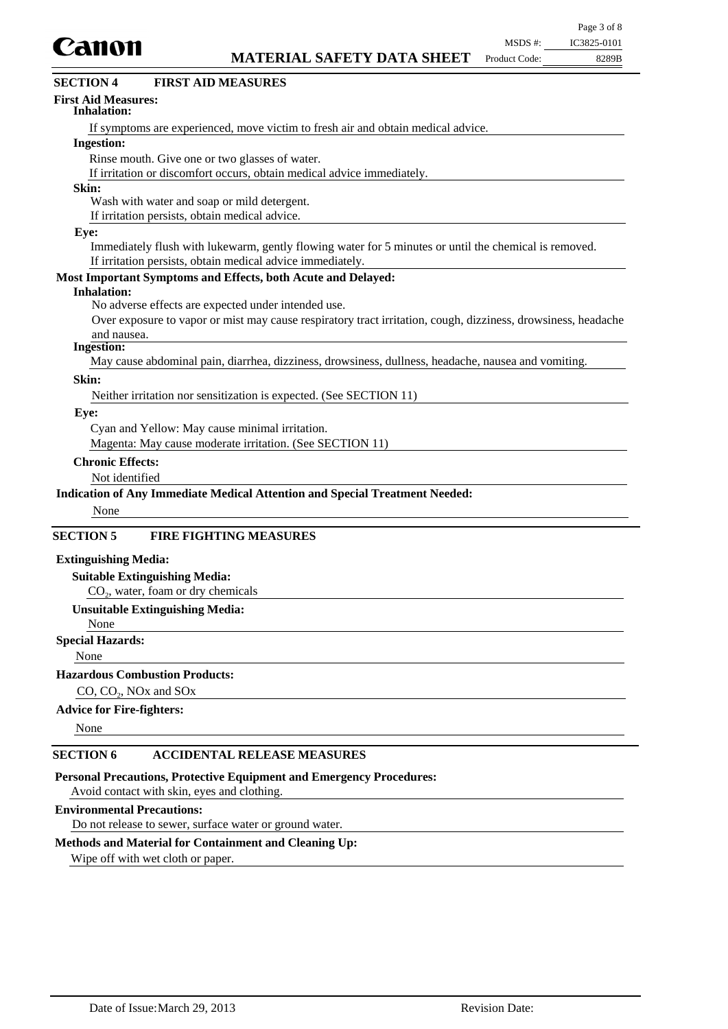

| www.                                             | <b>MATERIAL SAFETY DATA SHEET</b>                                                                    | Product Code: | 8289B |
|--------------------------------------------------|------------------------------------------------------------------------------------------------------|---------------|-------|
| <b>SECTION 4</b>                                 | <b>FIRST AID MEASURES</b>                                                                            |               |       |
| <b>First Aid Measures:</b><br><b>Inhalation:</b> |                                                                                                      |               |       |
|                                                  | If symptoms are experienced, move victim to fresh air and obtain medical advice.                     |               |       |
| <b>Ingestion:</b>                                |                                                                                                      |               |       |
|                                                  | Rinse mouth. Give one or two glasses of water.                                                       |               |       |
|                                                  | If irritation or discomfort occurs, obtain medical advice immediately.                               |               |       |
| Skin:                                            |                                                                                                      |               |       |
|                                                  | Wash with water and soap or mild detergent.                                                          |               |       |
|                                                  | If irritation persists, obtain medical advice.                                                       |               |       |
| Eye:                                             | Immediately flugh with lukewerm, gantly flowing water for 5 minutes or until the chamical is removed |               |       |

Immediately flush with lukewarm, gently flowing water for 5 minutes or until the chemical is removed. If irritation persists, obtain medical advice immediately.

### **Most Important Symptoms and Effects, both Acute and Delayed:**

#### **Inhalation:**

No adverse effects are expected under intended use.

Over exposure to vapor or mist may cause respiratory tract irritation, cough, dizziness, drowsiness, headache and nausea.

#### **Ingestion:**

May cause abdominal pain, diarrhea, dizziness, drowsiness, dullness, headache, nausea and vomiting.

#### **Skin:**

Neither irritation nor sensitization is expected. (See SECTION 11)

#### **Eye:**

Cyan and Yellow: May cause minimal irritation.

Magenta: May cause moderate irritation. (See SECTION 11)

### **Chronic Effects:**

Not identified

### **Indication of Any Immediate Medical Attention and Special Treatment Needed:**

None

## **SECTION 5 FIRE FIGHTING MEASURES**

#### **Extinguishing Media:**

## **Suitable Extinguishing Media:**

 $CO<sub>2</sub>$ , water, foam or dry chemicals

#### **Unsuitable Extinguishing Media:**

None

**Special Hazards:**

None

#### **Hazardous Combustion Products:**

CO, CO<sub>2</sub>, NO<sub>x</sub> and SO<sub>x</sub>

### **Advice for Fire-fighters:**

None

## **SECTION 6 ACCIDENTAL RELEASE MEASURES**

### **Personal Precautions, Protective Equipment and Emergency Procedures:**

Avoid contact with skin, eyes and clothing.

## **Environmental Precautions:**

Do not release to sewer, surface water or ground water.

### **Methods and Material for Containment and Cleaning Up:**

Wipe off with wet cloth or paper.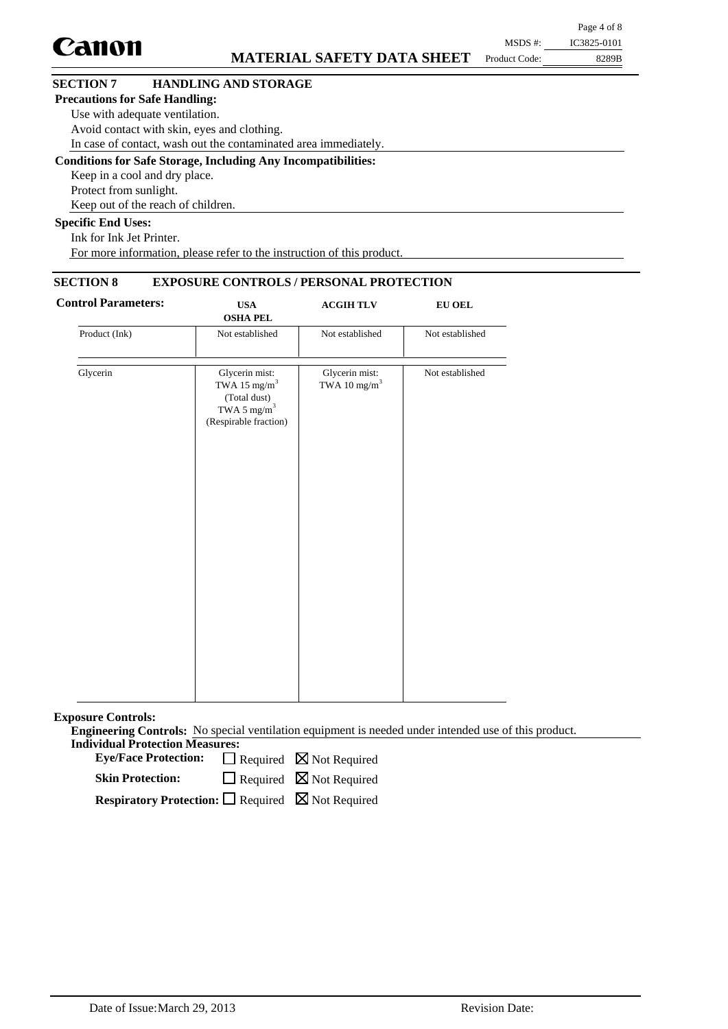|                                       |                                                                      |               | Page 4 of 8 |
|---------------------------------------|----------------------------------------------------------------------|---------------|-------------|
| Canon                                 |                                                                      | MSDS #:       | IC3825-0101 |
|                                       | <b>MATERIAL SAFETY DATA SHEET</b>                                    | Product Code: | 8289B       |
| <b>SECTION 7</b>                      | <b>HANDLING AND STORAGE</b>                                          |               |             |
| <b>Precautions for Safe Handling:</b> |                                                                      |               |             |
| Use with adequate ventilation.        |                                                                      |               |             |
|                                       | Avoid contact with skin, eyes and clothing.                          |               |             |
|                                       | In case of contact, wash out the contaminated area immediately.      |               |             |
|                                       | <b>Conditions for Safe Storage, Including Any Incompatibilities:</b> |               |             |
| Keep in a cool and dry place.         |                                                                      |               |             |
| Protect from sunlight.                |                                                                      |               |             |
|                                       | Keep out of the reach of children.                                   |               |             |
| <b>Specific End Uses:</b>             |                                                                      |               |             |
| Ink for Ink Jet Printer.              |                                                                      |               |             |

For more information, please refer to the instruction of this product.

## **SECTION 8 EXPOSURE CONTROLS / PERSONAL PROTECTION**

| <b>Control Parameters:</b> | <b>USA</b><br><b>OSHA PEL</b>                                                                                  | <b>ACGIH TLV</b>                           | ${\bf EU}$ OEL  |
|----------------------------|----------------------------------------------------------------------------------------------------------------|--------------------------------------------|-----------------|
| Product (Ink)              | Not established                                                                                                | Not established                            | Not established |
| Glycerin                   | Glycerin mist:<br>TWA 15 mg/m <sup>3</sup><br>(Total dust)<br>TWA 5 $\mathrm{mg/m}^3$<br>(Respirable fraction) | Glycerin mist:<br>TWA 10 mg/m <sup>3</sup> | Not established |
|                            |                                                                                                                |                                            |                 |

**Exposure Controls:**

**Engineering Controls:** No special ventilation equipment is needed under intended use of this product. **Individual Protection Measures:**

Eye/Face Protection:  $\Box$  Required  $\boxtimes$  Not Required

 $\Box$  Required  $\boxtimes$  Not Required **Skin Protection:**

**Respiratory Protection:** □ Required ⊠ Not Required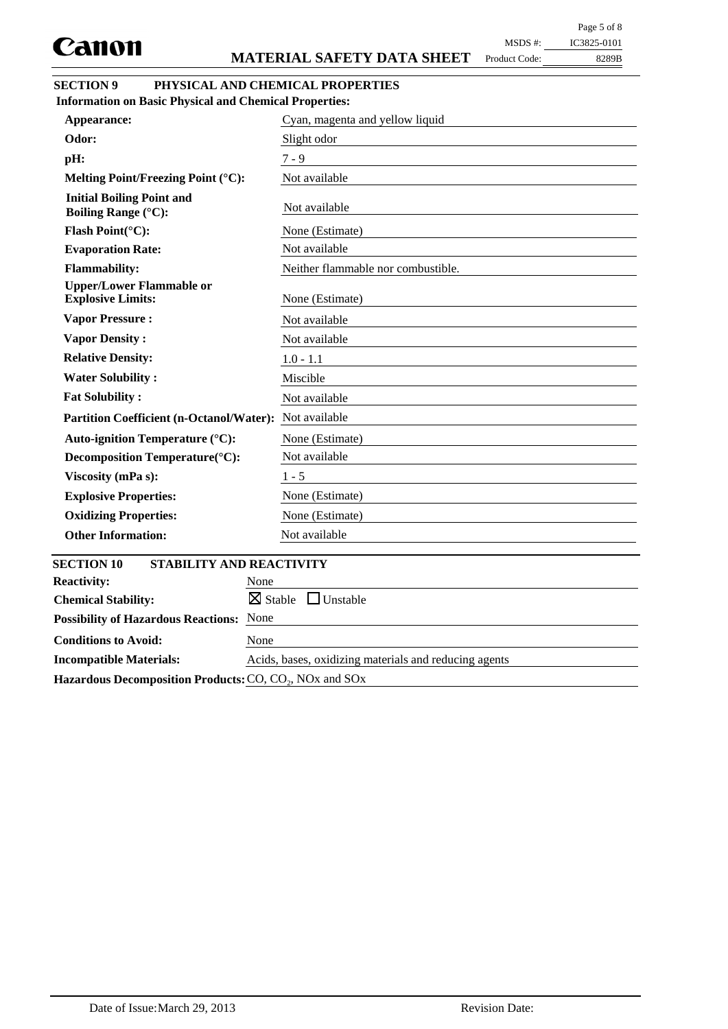Page 5 of 8

Product Code:

8289B MSDS #: IC3825-0101

### **SECTION 9 PHYSICAL AND CHEMICAL PROPERTIES Information on Basic Physical and Chemical Properties:**

| Appearance:                                                    | Cyan, magenta and yellow liquid       |
|----------------------------------------------------------------|---------------------------------------|
| Odor:                                                          | Slight odor                           |
| pH:                                                            | $7 - 9$                               |
| Melting Point/Freezing Point (°C):                             | Not available                         |
| <b>Initial Boiling Point and</b><br><b>Boiling Range (°C):</b> | Not available                         |
| Flash Point(°C):                                               | None (Estimate)                       |
| <b>Evaporation Rate:</b>                                       | Not available                         |
| <b>Flammability:</b>                                           | Neither flammable nor combustible.    |
| <b>Upper/Lower Flammable or</b><br><b>Explosive Limits:</b>    | None (Estimate)                       |
| <b>Vapor Pressure:</b>                                         | Not available                         |
| <b>Vapor Density:</b>                                          | Not available                         |
| <b>Relative Density:</b>                                       | $1.0 - 1.1$                           |
| <b>Water Solubility:</b>                                       | Miscible                              |
| <b>Fat Solubility:</b>                                         | Not available                         |
| Partition Coefficient (n-Octanol/Water): Not available         |                                       |
| Auto-ignition Temperature (°C):                                | None (Estimate)                       |
| Decomposition Temperature(°C):                                 | Not available                         |
| Viscosity (mPa s):                                             | $1 - 5$                               |
| <b>Explosive Properties:</b>                                   | None (Estimate)                       |
| <b>Oxidizing Properties:</b>                                   | None (Estimate)                       |
| <b>Other Information:</b>                                      | Not available                         |
| <b>SECTION 10</b><br>STABILITY AND REACTIVITY                  |                                       |
| <b>Reactivity:</b>                                             | None                                  |
| <b>Chemical Stability:</b>                                     | $\boxtimes$ Stable<br>$\Box$ Unstable |
| <b>Possibility of Hazardous Reactions: None</b>                |                                       |
| <b>Conditions to Avoid:</b>                                    | None                                  |

**Incompatible Materials:** Acids, bases, oxidizing materials and reducing agents Hazardous Decomposition Products: CO, CO<sub>2</sub>, NO<sub>x</sub> and SO<sub>x</sub>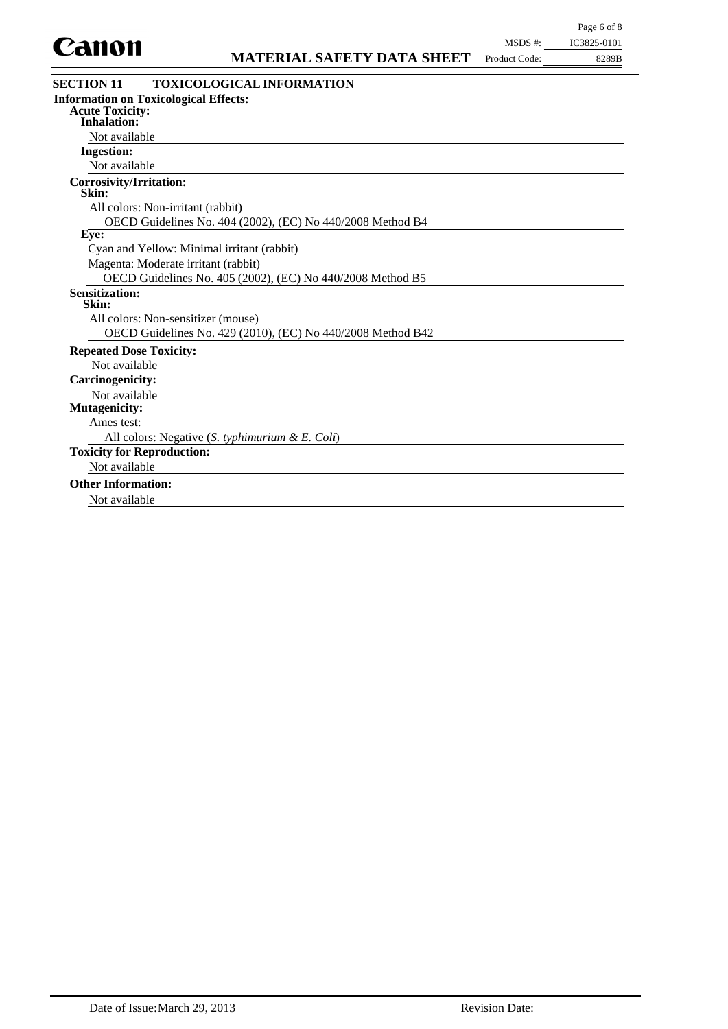

| <b>TOXICOLOGICAL INFORMATION</b><br><b>Information on Toxicological Effects:</b> |                                                                                                                                                      |  |
|----------------------------------------------------------------------------------|------------------------------------------------------------------------------------------------------------------------------------------------------|--|
|                                                                                  |                                                                                                                                                      |  |
|                                                                                  |                                                                                                                                                      |  |
|                                                                                  |                                                                                                                                                      |  |
|                                                                                  |                                                                                                                                                      |  |
|                                                                                  |                                                                                                                                                      |  |
|                                                                                  |                                                                                                                                                      |  |
|                                                                                  |                                                                                                                                                      |  |
| All colors: Non-irritant (rabbit)                                                |                                                                                                                                                      |  |
| OECD Guidelines No. 404 (2002), (EC) No 440/2008 Method B4                       |                                                                                                                                                      |  |
|                                                                                  |                                                                                                                                                      |  |
| Cyan and Yellow: Minimal irritant (rabbit)                                       |                                                                                                                                                      |  |
| Magenta: Moderate irritant (rabbit)                                              |                                                                                                                                                      |  |
| OECD Guidelines No. 405 (2002), (EC) No 440/2008 Method B5                       |                                                                                                                                                      |  |
|                                                                                  |                                                                                                                                                      |  |
|                                                                                  |                                                                                                                                                      |  |
|                                                                                  |                                                                                                                                                      |  |
|                                                                                  |                                                                                                                                                      |  |
|                                                                                  |                                                                                                                                                      |  |
|                                                                                  |                                                                                                                                                      |  |
|                                                                                  |                                                                                                                                                      |  |
|                                                                                  |                                                                                                                                                      |  |
|                                                                                  |                                                                                                                                                      |  |
|                                                                                  |                                                                                                                                                      |  |
|                                                                                  |                                                                                                                                                      |  |
|                                                                                  |                                                                                                                                                      |  |
|                                                                                  |                                                                                                                                                      |  |
|                                                                                  |                                                                                                                                                      |  |
|                                                                                  | All colors: Non-sensitizer (mouse)<br>OECD Guidelines No. 429 (2010), (EC) No 440/2008 Method B42<br>All colors: Negative (S. typhimurium & E. Coli) |  |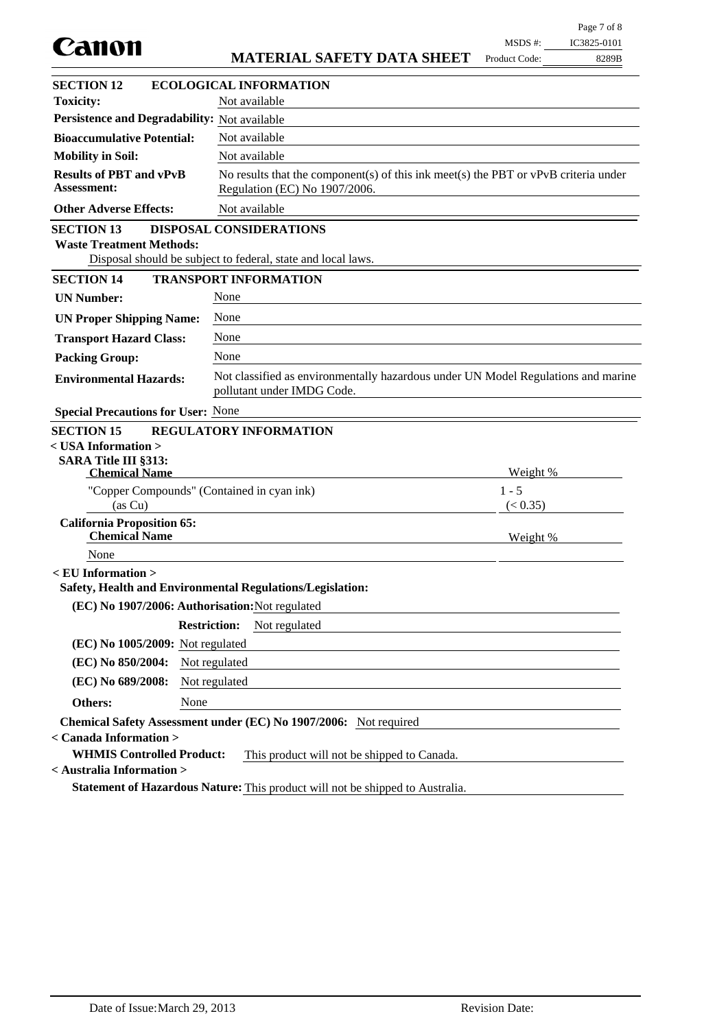| Canon                                                      |                                                                                                                        | MSDS #:       | IC3825-0101 |
|------------------------------------------------------------|------------------------------------------------------------------------------------------------------------------------|---------------|-------------|
|                                                            | <b>MATERIAL SAFETY DATA SHEET</b>                                                                                      | Product Code: | 8289B       |
| <b>SECTION 12</b>                                          | <b>ECOLOGICAL INFORMATION</b>                                                                                          |               |             |
| <b>Toxicity:</b>                                           | Not available                                                                                                          |               |             |
| Persistence and Degradability: Not available               |                                                                                                                        |               |             |
| <b>Bioaccumulative Potential:</b>                          | Not available                                                                                                          |               |             |
| <b>Mobility in Soil:</b>                                   | Not available                                                                                                          |               |             |
| <b>Results of PBT and vPvB</b><br><b>Assessment:</b>       | No results that the component(s) of this ink meet(s) the PBT or $vPvB$ criteria under<br>Regulation (EC) No 1907/2006. |               |             |
| <b>Other Adverse Effects:</b>                              | Not available                                                                                                          |               |             |
| <b>SECTION 13</b><br><b>Waste Treatment Methods:</b>       | <b>DISPOSAL CONSIDERATIONS</b><br>Disposal should be subject to federal, state and local laws.                         |               |             |
| <b>SECTION 14</b>                                          | <b>TRANSPORT INFORMATION</b>                                                                                           |               |             |
| <b>UN Number:</b>                                          | None                                                                                                                   |               |             |
| <b>UN Proper Shipping Name:</b>                            | None                                                                                                                   |               |             |
| <b>Transport Hazard Class:</b>                             | None                                                                                                                   |               |             |
| <b>Packing Group:</b>                                      | None                                                                                                                   |               |             |
| <b>Environmental Hazards:</b>                              | Not classified as environmentally hazardous under UN Model Regulations and marine<br>pollutant under IMDG Code.        |               |             |
| <b>Special Precautions for User: None</b>                  |                                                                                                                        |               |             |
| <b>SECTION 15</b>                                          | <b>REGULATORY INFORMATION</b>                                                                                          |               |             |
| $<$ USA Information $>$                                    |                                                                                                                        |               |             |
| <b>SARA Title III §313:</b><br><b>Chemical Name</b>        |                                                                                                                        | Weight %      |             |
| "Copper Compounds" (Contained in cyan ink)                 |                                                                                                                        | $1 - 5$       |             |
| (as Cu)                                                    |                                                                                                                        | (< 0.35)      |             |
| <b>California Proposition 65:</b><br><b>Chemical Name</b>  |                                                                                                                        | Weight %      |             |
| None                                                       |                                                                                                                        |               |             |
| $\epsilon$ EU Information $>$                              | Safety, Health and Environmental Regulations/Legislation:                                                              |               |             |
| (EC) No 1907/2006: Authorisation: Not regulated            |                                                                                                                        |               |             |
|                                                            | <b>Restriction:</b><br>Not regulated                                                                                   |               |             |
| (EC) No 1005/2009: Not regulated                           |                                                                                                                        |               |             |
| (EC) No 850/2004:                                          | Not regulated                                                                                                          |               |             |
| (EC) No 689/2008:                                          | Not regulated                                                                                                          |               |             |
| <b>Others:</b><br>None                                     |                                                                                                                        |               |             |
|                                                            | Chemical Safety Assessment under (EC) No 1907/2006: Not required                                                       |               |             |
| < Canada Information ><br><b>WHMIS Controlled Product:</b> | This product will not be shipped to Canada.                                                                            |               |             |
| < Australia Information >                                  |                                                                                                                        |               |             |
|                                                            | Statement of Hazardous Nature: This product will not be shipped to Australia.                                          |               |             |

Page 7 of 8